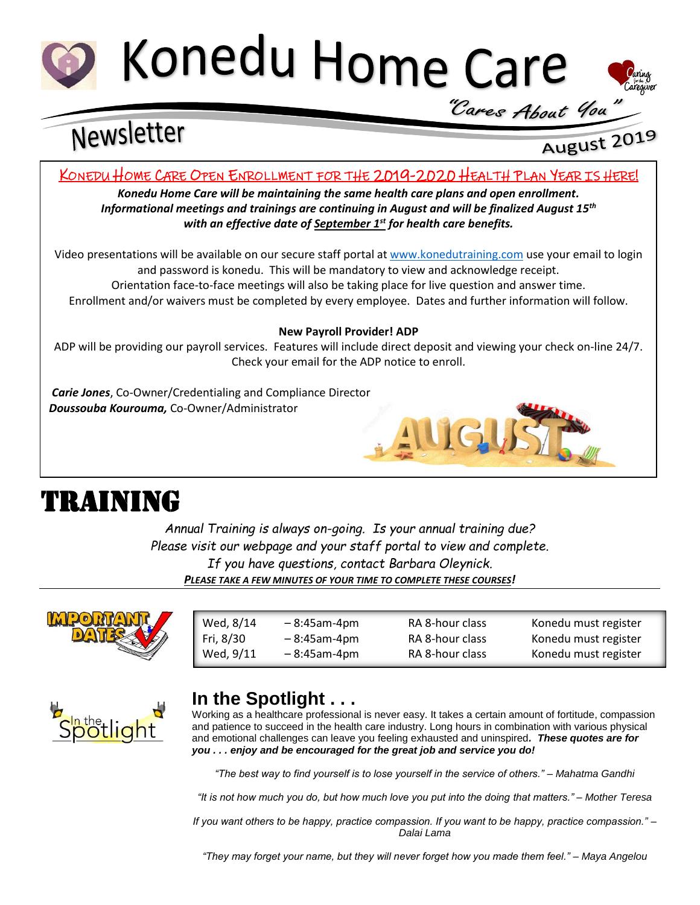



 $\overline{\phantom{a}}$ 

# Newsletter

## August 2019

#### KONEDU HOME CARE OPEN ENROLLMENT FOR THE 2019-2020 HEALTH PLAN YEAR IS HERE!

*Konedu Home Care will be maintaining the same health care plans and open enrollment. Informational meetings and trainings are continuing in August and will be finalized August 15th with an effective date of September 1st for health care benefits.*

Video presentations will be available on our secure staff portal at [www.konedutraining.com](http://www.konedutraining.com/) use your email to login and password is konedu. This will be mandatory to view and acknowledge receipt. Orientation face-to-face meetings will also be taking place for live question and answer time. Enrollment and/or waivers must be completed by every employee. Dates and further information will follow.

#### **New Payroll Provider! ADP**

ADP will be providing our payroll services. Features will include direct deposit and viewing your check on-line 24/7. Check your email for the ADP notice to enroll.

*Carie Jones*, Co-Owner/Credentialing and Compliance Director *Doussouba Kourouma,* Co-Owner/Administrator



## TRAINING

*Annual Training is always on-going. Is your annual training due? Please visit our webpage and your staff portal to view and complete. If you have questions, contact Barbara Oleynick. PLEASE TAKE A FEW MINUTES OF YOUR TIME TO COMPLETE THESE COURSES!*

 $\overline{\phantom{a}}$  , and the state  $\overline{\phantom{a}}$  and  $\overline{\phantom{a}}$ 



| Wed, 8/14 | $-8:45$ am-4pm | RA 8-hour class | Konedu must register |
|-----------|----------------|-----------------|----------------------|
| Fri, 8/30 | $-8:45$ am-4pm | RA 8-hour class | Konedu must register |
| Wed, 9/11 | $-8:45$ am-4pm | RA 8-hour class | Konedu must register |



### **In the Spotlight . . .**

Working as a healthcare professional is never easy. It takes a certain amount of fortitude, compassion and patience to succeed in the health care industry. Long hours in combination with various physical and emotional challenges can leave you feeling exhausted and uninspired*. These quotes are for you . . . enjoy and be encouraged for the great job and service you do!*

*"The best way to find yourself is to lose yourself in the service of others." – Mahatma Gandhi*

*"It is not how much you do, but how much love you put into the doing that matters." – Mother Teresa*

*If you want others to be happy, practice compassion. If you want to be happy, practice compassion." – Dalai Lama*

*"They may forget your name, but they will never forget how you made them feel." – Maya Angelou*